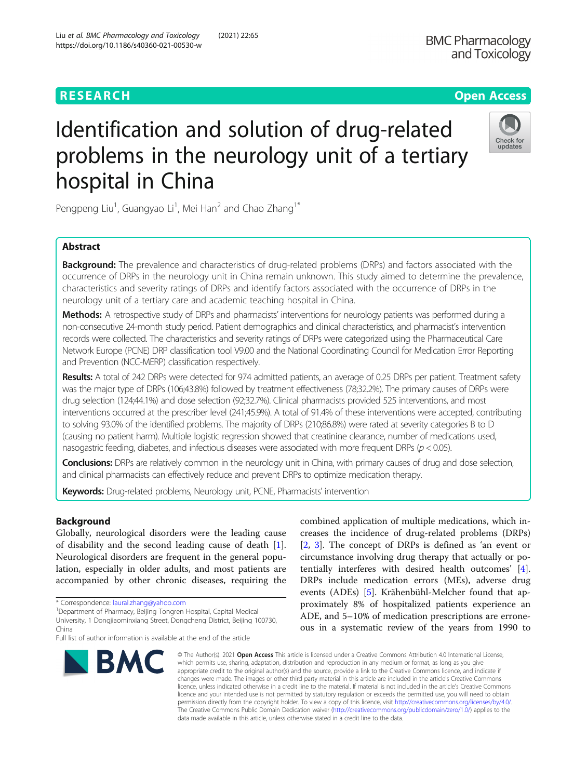# **RESEARCH CHE Open Access**

# Identification and solution of drug-related problems in the neurology unit of a tertiary hospital in China



Pengpeng Liu<sup>1</sup>, Guangyao Li<sup>1</sup>, Mei Han<sup>2</sup> and Chao Zhang<sup>1\*</sup>

# Abstract

**Background:** The prevalence and characteristics of drug-related problems (DRPs) and factors associated with the occurrence of DRPs in the neurology unit in China remain unknown. This study aimed to determine the prevalence, characteristics and severity ratings of DRPs and identify factors associated with the occurrence of DRPs in the neurology unit of a tertiary care and academic teaching hospital in China.

Methods: A retrospective study of DRPs and pharmacists' interventions for neurology patients was performed during a non-consecutive 24-month study period. Patient demographics and clinical characteristics, and pharmacist's intervention records were collected. The characteristics and severity ratings of DRPs were categorized using the Pharmaceutical Care Network Europe (PCNE) DRP classification tool V9.00 and the National Coordinating Council for Medication Error Reporting and Prevention (NCC-MERP) classification respectively.

Results: A total of 242 DRPs were detected for 974 admitted patients, an average of 0.25 DRPs per patient. Treatment safety was the major type of DRPs (106;43.8%) followed by treatment effectiveness (78;32.2%). The primary causes of DRPs were drug selection (124;44.1%) and dose selection (92;32.7%). Clinical pharmacists provided 525 interventions, and most interventions occurred at the prescriber level (241;45.9%). A total of 91.4% of these interventions were accepted, contributing to solving 93.0% of the identified problems. The majority of DRPs (210;86.8%) were rated at severity categories B to D (causing no patient harm). Multiple logistic regression showed that creatinine clearance, number of medications used, nasogastric feeding, diabetes, and infectious diseases were associated with more frequent DRPs ( $p < 0.05$ ).

Conclusions: DRPs are relatively common in the neurology unit in China, with primary causes of drug and dose selection, and clinical pharmacists can effectively reduce and prevent DRPs to optimize medication therapy.

Keywords: Drug-related problems, Neurology unit, PCNE, Pharmacists' intervention

# Background

Globally, neurological disorders were the leading cause of disability and the second leading cause of death [\[1](#page-7-0)]. Neurological disorders are frequent in the general population, especially in older adults, and most patients are accompanied by other chronic diseases, requiring the

Department of Pharmacy, Beijing Tongren Hospital, Capital Medical

Full list of author information is available at the end of the article



combined application of multiple medications, which increases the incidence of drug-related problems (DRPs) [[2,](#page-7-0) [3](#page-7-0)]. The concept of DRPs is defined as 'an event or circumstance involving drug therapy that actually or potentially interferes with desired health outcomes' [\[4](#page-7-0)]. DRPs include medication errors (MEs), adverse drug events (ADEs) [\[5](#page-7-0)]. Krähenbühl-Melcher found that approximately 8% of hospitalized patients experience an ADE, and 5–10% of medication prescriptions are erroneous in a systematic review of the years from 1990 to

© The Author(s), 2021 **Open Access** This article is licensed under a Creative Commons Attribution 4.0 International License, which permits use, sharing, adaptation, distribution and reproduction in any medium or format, as long as you give appropriate credit to the original author(s) and the source, provide a link to the Creative Commons licence, and indicate if changes were made. The images or other third party material in this article are included in the article's Creative Commons licence, unless indicated otherwise in a credit line to the material. If material is not included in the article's Creative Commons licence and your intended use is not permitted by statutory regulation or exceeds the permitted use, you will need to obtain permission directly from the copyright holder. To view a copy of this licence, visit [http://creativecommons.org/licenses/by/4.0/.](http://creativecommons.org/licenses/by/4.0/) The Creative Commons Public Domain Dedication waiver [\(http://creativecommons.org/publicdomain/zero/1.0/](http://creativecommons.org/publicdomain/zero/1.0/)) applies to the data made available in this article, unless otherwise stated in a credit line to the data.

<sup>\*</sup> Correspondence: [laural.zhang@yahoo.com](mailto:laural.zhang@yahoo.com) <sup>1</sup>

University, 1 Dongjiaominxiang Street, Dongcheng District, Beijing 100730, China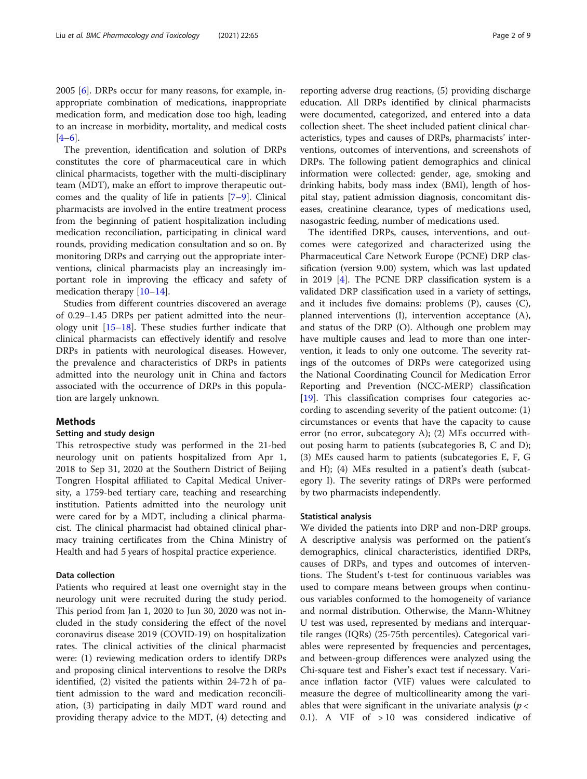2005 [[6\]](#page-7-0). DRPs occur for many reasons, for example, inappropriate combination of medications, inappropriate medication form, and medication dose too high, leading to an increase in morbidity, mortality, and medical costs  $[4–6]$  $[4–6]$  $[4–6]$  $[4–6]$ .

The prevention, identification and solution of DRPs constitutes the core of pharmaceutical care in which clinical pharmacists, together with the multi-disciplinary team (MDT), make an effort to improve therapeutic outcomes and the quality of life in patients [\[7](#page-7-0)–[9](#page-7-0)]. Clinical pharmacists are involved in the entire treatment process from the beginning of patient hospitalization including medication reconciliation, participating in clinical ward rounds, providing medication consultation and so on. By monitoring DRPs and carrying out the appropriate interventions, clinical pharmacists play an increasingly important role in improving the efficacy and safety of medication therapy [[10](#page-7-0)–[14](#page-8-0)].

Studies from different countries discovered an average of 0.29–1.45 DRPs per patient admitted into the neurology unit  $[15-18]$  $[15-18]$  $[15-18]$ . These studies further indicate that clinical pharmacists can effectively identify and resolve DRPs in patients with neurological diseases. However, the prevalence and characteristics of DRPs in patients admitted into the neurology unit in China and factors associated with the occurrence of DRPs in this population are largely unknown.

# **Methods**

# Setting and study design

This retrospective study was performed in the 21-bed neurology unit on patients hospitalized from Apr 1, 2018 to Sep 31, 2020 at the Southern District of Beijing Tongren Hospital affiliated to Capital Medical University, a 1759-bed tertiary care, teaching and researching institution. Patients admitted into the neurology unit were cared for by a MDT, including a clinical pharmacist. The clinical pharmacist had obtained clinical pharmacy training certificates from the China Ministry of Health and had 5 years of hospital practice experience.

# Data collection

Patients who required at least one overnight stay in the neurology unit were recruited during the study period. This period from Jan 1, 2020 to Jun 30, 2020 was not included in the study considering the effect of the novel coronavirus disease 2019 (COVID-19) on hospitalization rates. The clinical activities of the clinical pharmacist were: (1) reviewing medication orders to identify DRPs and proposing clinical interventions to resolve the DRPs identified, (2) visited the patients within 24-72 h of patient admission to the ward and medication reconciliation, (3) participating in daily MDT ward round and providing therapy advice to the MDT, (4) detecting and

reporting adverse drug reactions, (5) providing discharge education. All DRPs identified by clinical pharmacists were documented, categorized, and entered into a data collection sheet. The sheet included patient clinical characteristics, types and causes of DRPs, pharmacists' interventions, outcomes of interventions, and screenshots of DRPs. The following patient demographics and clinical information were collected: gender, age, smoking and drinking habits, body mass index (BMI), length of hospital stay, patient admission diagnosis, concomitant diseases, creatinine clearance, types of medications used, nasogastric feeding, number of medications used.

The identified DRPs, causes, interventions, and outcomes were categorized and characterized using the Pharmaceutical Care Network Europe (PCNE) DRP classification (version 9.00) system, which was last updated in 2019 [[4\]](#page-7-0). The PCNE DRP classification system is a validated DRP classification used in a variety of settings, and it includes five domains: problems (P), causes (C), planned interventions (I), intervention acceptance (A), and status of the DRP (O). Although one problem may have multiple causes and lead to more than one intervention, it leads to only one outcome. The severity ratings of the outcomes of DRPs were categorized using the National Coordinating Council for Medication Error Reporting and Prevention (NCC-MERP) classification [[19\]](#page-8-0). This classification comprises four categories according to ascending severity of the patient outcome: (1) circumstances or events that have the capacity to cause error (no error, subcategory A); (2) MEs occurred without posing harm to patients (subcategories B, C and D); (3) MEs caused harm to patients (subcategories E, F, G and H); (4) MEs resulted in a patient's death (subcategory I). The severity ratings of DRPs were performed by two pharmacists independently.

#### Statistical analysis

We divided the patients into DRP and non-DRP groups. A descriptive analysis was performed on the patient's demographics, clinical characteristics, identified DRPs, causes of DRPs, and types and outcomes of interventions. The Student's t-test for continuous variables was used to compare means between groups when continuous variables conformed to the homogeneity of variance and normal distribution. Otherwise, the Mann-Whitney U test was used, represented by medians and interquartile ranges (IQRs) (25-75th percentiles). Categorical variables were represented by frequencies and percentages, and between-group differences were analyzed using the Chi-square test and Fisher's exact test if necessary. Variance inflation factor (VIF) values were calculated to measure the degree of multicollinearity among the variables that were significant in the univariate analysis ( $p <$ 0.1). A VIF of > 10 was considered indicative of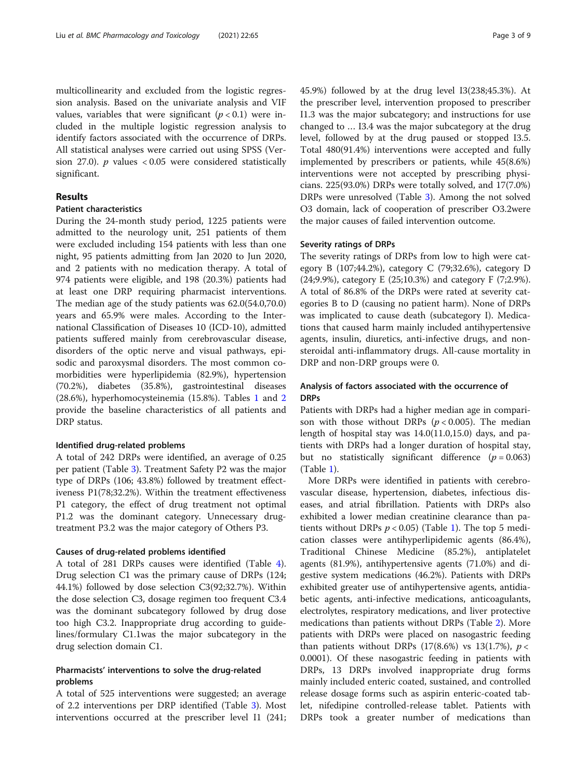multicollinearity and excluded from the logistic regression analysis. Based on the univariate analysis and VIF values, variables that were significant  $(p < 0.1)$  were included in the multiple logistic regression analysis to identify factors associated with the occurrence of DRPs. All statistical analyses were carried out using SPSS (Version 27.0).  $p$  values < 0.05 were considered statistically significant.

# Results

# Patient characteristics

During the 24-month study period, 1225 patients were admitted to the neurology unit, 251 patients of them were excluded including 154 patients with less than one night, 95 patients admitting from Jan 2020 to Jun 2020, and 2 patients with no medication therapy. A total of 974 patients were eligible, and 198 (20.3%) patients had at least one DRP requiring pharmacist interventions. The median age of the study patients was 62.0(54.0,70.0) years and 65.9% were males. According to the International Classification of Diseases 10 (ICD-10), admitted patients suffered mainly from cerebrovascular disease, disorders of the optic nerve and visual pathways, episodic and paroxysmal disorders. The most common comorbidities were hyperlipidemia (82.9%), hypertension (70.2%), diabetes (35.8%), gastrointestinal diseases (28.6%), hyperhomocysteinemia (15.8%). Tables [1](#page-3-0) and [2](#page-4-0) provide the baseline characteristics of all patients and DRP status.

# Identified drug-related problems

A total of 242 DRPs were identified, an average of 0.25 per patient (Table [3](#page-5-0)). Treatment Safety P2 was the major type of DRPs (106; 43.8%) followed by treatment effectiveness P1(78;32.2%). Within the treatment effectiveness P1 category, the effect of drug treatment not optimal P1.2 was the dominant category. Unnecessary drugtreatment P3.2 was the major category of Others P3.

#### Causes of drug-related problems identified

A total of 281 DRPs causes were identified (Table [4](#page-6-0)). Drug selection C1 was the primary cause of DRPs (124; 44.1%) followed by dose selection C3(92;32.7%). Within the dose selection C3, dosage regimen too frequent C3.4 was the dominant subcategory followed by drug dose too high C3.2. Inappropriate drug according to guidelines/formulary C1.1was the major subcategory in the drug selection domain C1.

# Pharmacists' interventions to solve the drug-related problems

A total of 525 interventions were suggested; an average of 2.2 interventions per DRP identified (Table [3\)](#page-5-0). Most interventions occurred at the prescriber level I1 (241; 45.9%) followed by at the drug level I3(238;45.3%). At the prescriber level, intervention proposed to prescriber I1.3 was the major subcategory; and instructions for use changed to … I3.4 was the major subcategory at the drug level, followed by at the drug paused or stopped I3.5. Total 480(91.4%) interventions were accepted and fully implemented by prescribers or patients, while 45(8.6%) interventions were not accepted by prescribing physicians. 225(93.0%) DRPs were totally solved, and 17(7.0%) DRPs were unresolved (Table [3](#page-5-0)). Among the not solved O3 domain, lack of cooperation of prescriber O3.2were the major causes of failed intervention outcome.

# Severity ratings of DRPs

The severity ratings of DRPs from low to high were category B (107;44.2%), category C (79;32.6%), category D (24;9.9%), category E (25;10.3%) and category F (7;2.9%). A total of 86.8% of the DRPs were rated at severity categories B to D (causing no patient harm). None of DRPs was implicated to cause death (subcategory I). Medications that caused harm mainly included antihypertensive agents, insulin, diuretics, anti-infective drugs, and nonsteroidal anti-inflammatory drugs. All-cause mortality in DRP and non-DRP groups were 0.

# Analysis of factors associated with the occurrence of **DRPs**

Patients with DRPs had a higher median age in comparison with those without DRPs ( $p < 0.005$ ). The median length of hospital stay was 14.0(11.0,15.0) days, and patients with DRPs had a longer duration of hospital stay, but no statistically significant difference  $(p = 0.063)$  $(Table 1)$  $(Table 1)$ .

More DRPs were identified in patients with cerebrovascular disease, hypertension, diabetes, infectious diseases, and atrial fibrillation. Patients with DRPs also exhibited a lower median creatinine clearance than patients without DRPs  $p < 0.05$ ) (Table [1](#page-3-0)). The top 5 medication classes were antihyperlipidemic agents (86.4%), Traditional Chinese Medicine (85.2%), antiplatelet agents (81.9%), antihypertensive agents (71.0%) and digestive system medications (46.2%). Patients with DRPs exhibited greater use of antihypertensive agents, antidiabetic agents, anti-infective medications, anticoagulants, electrolytes, respiratory medications, and liver protective medications than patients without DRPs (Table [2\)](#page-4-0). More patients with DRPs were placed on nasogastric feeding than patients without DRPs  $(17(8.6%)$  vs  $13(1.7%), p <$ 0.0001). Of these nasogastric feeding in patients with DRPs, 13 DRPs involved inappropriate drug forms mainly included enteric coated, sustained, and controlled release dosage forms such as aspirin enteric-coated tablet, nifedipine controlled-release tablet. Patients with DRPs took a greater number of medications than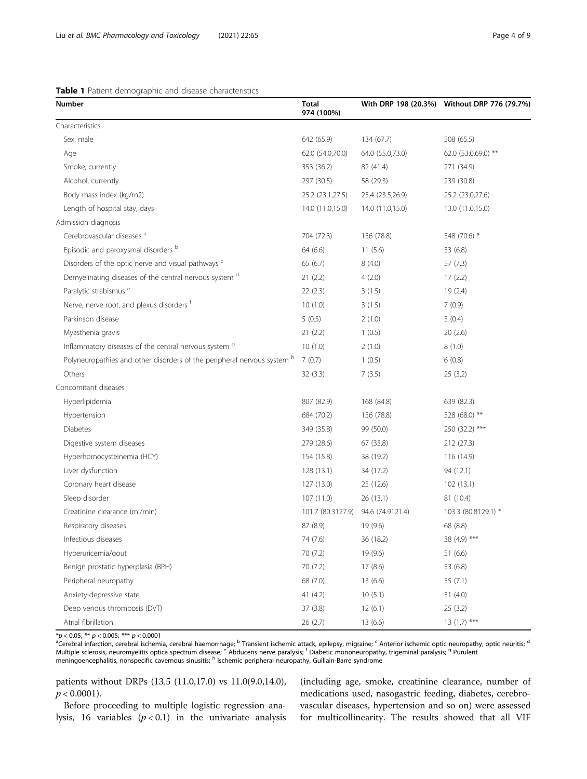<span id="page-3-0"></span>

| Table 1 Patient demographic and disease characteristics |  |
|---------------------------------------------------------|--|
|---------------------------------------------------------|--|

| Number                                                                  | <b>Total</b><br>974 (100%) |                  | With DRP 198 (20.3%) Without DRP 776 (79.7%) |
|-------------------------------------------------------------------------|----------------------------|------------------|----------------------------------------------|
| Characteristics                                                         |                            |                  |                                              |
| Sex, male                                                               | 642 (65.9)                 | 134 (67.7)       | 508 (65.5)                                   |
| Age                                                                     | 62.0 (54.0,70.0)           | 64.0 (55.0,73.0) | 62.0 (53.0,69.0) **                          |
| Smoke, currently                                                        | 353 (36.2)                 | 82 (41.4)        | 271 (34.9)                                   |
| Alcohol, currently                                                      | 297 (30.5)                 | 58 (29.3)        | 239 (30.8)                                   |
| Body mass index (kg/m2)                                                 | 25.2 (23.1,27.5)           | 25.4 (23.5,26.9) | 25.2 (23.0,27.6)                             |
| Length of hospital stay, days                                           | 14.0 (11.0,15.0)           | 14.0 (11.0,15.0) | 13.0 (11.0,15.0)                             |
| Admission diagnosis                                                     |                            |                  |                                              |
| Cerebrovascular diseases <sup>a</sup>                                   | 704 (72.3)                 | 156 (78.8)       | 548 (70.6) *                                 |
| Episodic and paroxysmal disorders b                                     | 64 (6.6)                   | 11(5.6)          | 53 (6.8)                                     |
| Disorders of the optic nerve and visual pathways <sup>c</sup>           | 65(6.7)                    | 8(4.0)           | 57(7.3)                                      |
| Demyelinating diseases of the central nervous system <sup>d</sup>       | 21(2.2)                    | 4(2.0)           | 17(2.2)                                      |
| Paralytic strabismus <sup>e</sup>                                       | 22(2.3)                    | 3(1.5)           | 19(2.4)                                      |
| Nerve, nerve root, and plexus disorders f                               | 10(1.0)                    | 3(1.5)           | 7(0.9)                                       |
| Parkinson disease                                                       | 5(0.5)                     | 2(1.0)           | 3(0.4)                                       |
| Myasthenia gravis                                                       | 21(2.2)                    | 1(0.5)           | 20(2.6)                                      |
| Inflammatory diseases of the central nervous system <sup>9</sup>        | 10(1.0)                    | 2(1.0)           | 8(1.0)                                       |
| Polyneuropathies and other disorders of the peripheral nervous system h | 7(0.7)                     | 1(0.5)           | 6(0.8)                                       |
| Others                                                                  | 32(3.3)                    | 7(3.5)           | 25(3.2)                                      |
| Concomitant diseases                                                    |                            |                  |                                              |
| Hyperlipidemia                                                          | 807 (82.9)                 | 168 (84.8)       | 639 (82.3)                                   |
| Hypertension                                                            | 684 (70.2)                 | 156 (78.8)       | 528 (68.0) **                                |
| Diabetes                                                                | 349 (35.8)                 | 99 (50.0)        | 250 (32.2) ***                               |
| Digestive system diseases                                               | 279 (28.6)                 | 67 (33.8)        | 212 (27.3)                                   |
| Hyperhomocysteinemia (HCY)                                              | 154 (15.8)                 | 38 (19.2)        | 116 (14.9)                                   |
| Liver dysfunction                                                       | 128(13.1)                  | 34 (17.2)        | 94 (12.1)                                    |
| Coronary heart disease                                                  | 127 (13.0)                 | 25 (12.6)        | 102(13.1)                                    |
| Sleep disorder                                                          | 107(11.0)                  | 26 (13.1)        | 81 (10.4)                                    |
| Creatinine clearance (ml/min)                                           | 101.7 (80.3127.9)          | 94.6 (74.9121.4) | 103.3 (80.8129.1) *                          |
| Respiratory diseases                                                    | 87 (8.9)                   | 19 (9.6)         | 68 (8.8)                                     |
| Infectious diseases                                                     | 74 (7.6)                   | 36 (18.2)        | 38 (4.9) ***                                 |
| Hyperuricemia/gout                                                      | 70 (7.2)                   | 19 (9.6)         | 51 (6.6)                                     |
| Benign prostatic hyperplasia (BPH)                                      | 70 (7.2)                   | 17 (8.6)         | 53 (6.8)                                     |
| Peripheral neuropathy                                                   | 68 (7.0)                   | 13(6.6)          | 55 $(7.1)$                                   |
| Anxiety-depressive state                                                | 41(4.2)                    | 10(5.1)          | 31(4.0)                                      |
| Deep venous thrombosis (DVT)                                            | 37(3.8)                    | 12(6.1)          | 25(3.2)                                      |
| Atrial fibrillation                                                     | 26 (2.7)                   | 13(6.6)          | $13(1.7)$ ***                                |

 $*p < 0.05; ** p < 0.005; ** p < 0.0001$ 

<sup>a</sup>Cerebral infarction, cerebral ischemia, cerebral haemorrhage; <sup>b</sup> Transient ischemic attack, epilepsy, migraine; <sup>c</sup> Anterior ischemic optic neuropathy, optic neuritis; <sup>d</sup> Multiple sclerosis, neuromyelitis optica spectrum disease; e Abducens nerve paralysis; f Diabetic mononeuropathy, trigeminal paralysis; <sup>9</sup> Purulent meningoencephalitis, nonspecific cavernous sinusitis;  $^{\text{h}}$  Ischemic peripheral neuropathy, Guillain-Barre syndrome

patients without DRPs (13.5 (11.0,17.0) vs 11.0(9.0,14.0),  $p < 0.0001$ ).

Before proceeding to multiple logistic regression analysis, 16 variables  $(p < 0.1)$  in the univariate analysis (including age, smoke, creatinine clearance, number of medications used, nasogastric feeding, diabetes, cerebrovascular diseases, hypertension and so on) were assessed for multicollinearity. The results showed that all VIF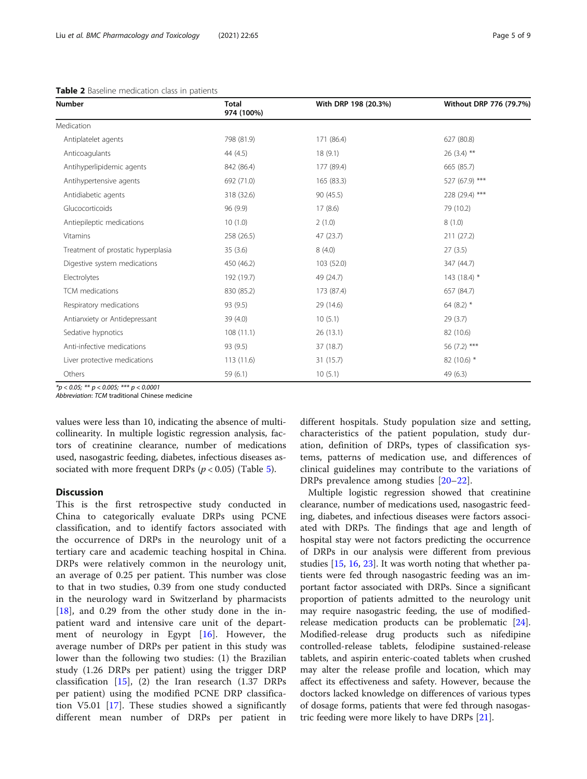| <b>Number</b>                      | <b>Total</b><br>974 (100%) | With DRP 198 (20.3%) | Without DRP 776 (79.7%) |
|------------------------------------|----------------------------|----------------------|-------------------------|
| Medication                         |                            |                      |                         |
| Antiplatelet agents                | 798 (81.9)                 | 171 (86.4)           | 627 (80.8)              |
| Anticoagulants                     | 44 (4.5)                   | 18(9.1)              | $26(3.4)$ **            |
| Antihyperlipidemic agents          | 842 (86.4)                 | 177 (89.4)           | 665 (85.7)              |
| Antihypertensive agents            | 692 (71.0)                 | 165 (83.3)           | 527 (67.9) ***          |
| Antidiabetic agents                | 318 (32.6)                 | 90(45.5)             | 228 (29.4) ***          |
| Glucocorticoids                    | 96 (9.9)                   | 17(8.6)              | 79 (10.2)               |
| Antiepileptic medications          | 10(1.0)                    | 2(1.0)               | 8(1.0)                  |
| Vitamins                           | 258 (26.5)                 | 47 (23.7)            | 211 (27.2)              |
| Treatment of prostatic hyperplasia | 35(3.6)                    | 8(4.0)               | 27(3.5)                 |
| Digestive system medications       | 450 (46.2)                 | 103 (52.0)           | 347 (44.7)              |
| Electrolytes                       | 192 (19.7)                 | 49 (24.7)            | 143 (18.4) *            |
| TCM medications                    | 830 (85.2)                 | 173 (87.4)           | 657 (84.7)              |
| Respiratory medications            | 93 (9.5)                   | 29 (14.6)            | 64 $(8.2)$ *            |
| Antianxiety or Antidepressant      | 39(4.0)                    | 10(5.1)              | 29(3.7)                 |
| Sedative hypnotics                 | 108(11.1)                  | 26(13.1)             | 82 (10.6)               |
| Anti-infective medications         | 93 (9.5)                   | 37 (18.7)            | 56 $(7.2)$ ***          |
| Liver protective medications       | 113(11.6)                  | 31(15.7)             | 82 (10.6) *             |
| Others                             | 59(6.1)                    | 10(5.1)              | 49 (6.3)                |

<span id="page-4-0"></span>Table 2 Baseline medication class in patients

 $**p* < 0.05; ** *p* < 0.005; *** *p* < 0.0001$ 

Abbreviation: TCM traditional Chinese medicine

values were less than 10, indicating the absence of multicollinearity. In multiple logistic regression analysis, factors of creatinine clearance, number of medications used, nasogastric feeding, diabetes, infectious diseases associated with more frequent DRPs ( $p < 0.05$  $p < 0.05$ ) (Table 5).

## **Discussion**

This is the first retrospective study conducted in China to categorically evaluate DRPs using PCNE classification, and to identify factors associated with the occurrence of DRPs in the neurology unit of a tertiary care and academic teaching hospital in China. DRPs were relatively common in the neurology unit, an average of 0.25 per patient. This number was close to that in two studies, 0.39 from one study conducted in the neurology ward in Switzerland by pharmacists [[18\]](#page-8-0), and 0.29 from the other study done in the inpatient ward and intensive care unit of the department of neurology in Egypt [[16](#page-8-0)]. However, the average number of DRPs per patient in this study was lower than the following two studies: (1) the Brazilian study (1.26 DRPs per patient) using the trigger DRP classification  $[15]$  $[15]$ , (2) the Iran research (1.37 DRPs per patient) using the modified PCNE DRP classification V5.01 [[17\]](#page-8-0). These studies showed a significantly different mean number of DRPs per patient in different hospitals. Study population size and setting, characteristics of the patient population, study duration, definition of DRPs, types of classification systems, patterns of medication use, and differences of clinical guidelines may contribute to the variations of DRPs prevalence among studies [[20](#page-8-0)–[22\]](#page-8-0).

Multiple logistic regression showed that creatinine clearance, number of medications used, nasogastric feeding, diabetes, and infectious diseases were factors associated with DRPs. The findings that age and length of hospital stay were not factors predicting the occurrence of DRPs in our analysis were different from previous studies [\[15,](#page-8-0) [16,](#page-8-0) [23\]](#page-8-0). It was worth noting that whether patients were fed through nasogastric feeding was an important factor associated with DRPs. Since a significant proportion of patients admitted to the neurology unit may require nasogastric feeding, the use of modifiedrelease medication products can be problematic [\[24](#page-8-0)]. Modified-release drug products such as nifedipine controlled-release tablets, felodipine sustained-release tablets, and aspirin enteric-coated tablets when crushed may alter the release profile and location, which may affect its effectiveness and safety. However, because the doctors lacked knowledge on differences of various types of dosage forms, patients that were fed through nasogastric feeding were more likely to have DRPs [\[21](#page-8-0)].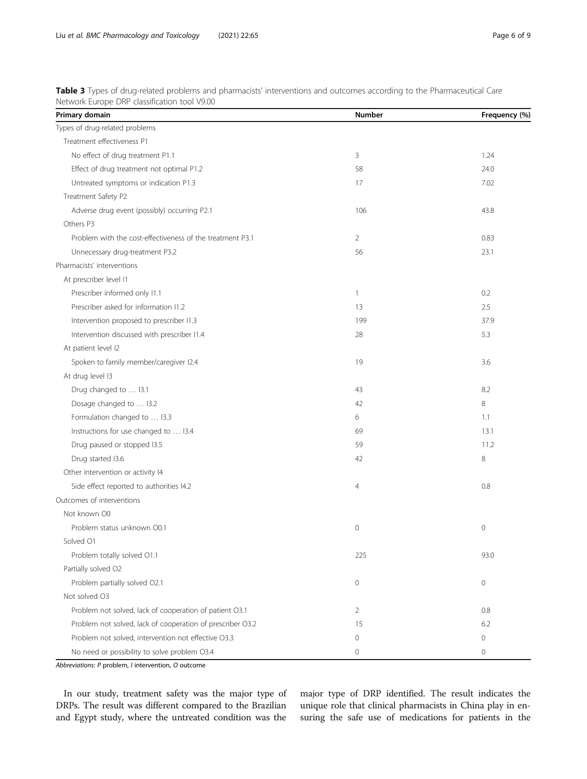| Primary domain                                             | <b>Number</b>  | Frequency (%) |
|------------------------------------------------------------|----------------|---------------|
| Types of drug-related problems                             |                |               |
| Treatment effectiveness P1                                 |                |               |
| No effect of drug treatment P1.1                           | 3              | 1.24          |
| Effect of drug treatment not optimal P1.2                  | 58             | 24.0          |
| Untreated symptoms or indication P1.3                      | 17             | 7.02          |
| Treatment Safety P2                                        |                |               |
| Adverse drug event (possibly) occurring P2.1               | 106            | 43.8          |
| Others P3                                                  |                |               |
| Problem with the cost-effectiveness of the treatment P3.1  | 2              | 0.83          |
| Unnecessary drug-treatment P3.2                            | 56             | 23.1          |
| Pharmacists' interventions                                 |                |               |
| At prescriber level I1                                     |                |               |
| Prescriber informed only I1.1                              | $\mathbf{1}$   | 0.2           |
| Prescriber asked for information 11.2                      | 13             | 2.5           |
| Intervention proposed to prescriber I1.3                   | 199            | 37.9          |
| Intervention discussed with prescriber I1.4                | 28             | 5.3           |
| At patient level I2                                        |                |               |
| Spoken to family member/caregiver I2.4                     | 19             | 3.6           |
| At drug level I3                                           |                |               |
| Drug changed to  I3.1                                      | 43             | 8.2           |
| Dosage changed to  I3.2                                    | 42             | 8             |
| Formulation changed to  I3.3                               | 6              | 1.1           |
| Instructions for use changed to  I3.4                      | 69             | 13.1          |
| Drug paused or stopped I3.5                                | 59             | 11.2          |
| Drug started I3.6                                          | 42             | 8             |
| Other intervention or activity I4                          |                |               |
| Side effect reported to authorities I4.2                   | $\overline{4}$ | 0.8           |
| Outcomes of interventions                                  |                |               |
| Not known O0                                               |                |               |
| Problem status unknown O0.1                                | 0              | $\mathbb O$   |
| Solved O1                                                  |                |               |
| Problem totally solved O1.1                                | 225            | 93.0          |
| Partially solved O2                                        |                |               |
| Problem partially solved O2.1                              | 0              | 0             |
| Not solved O3                                              |                |               |
| Problem not solved, lack of cooperation of patient O3.1    | 2              | 0.8           |
| Problem not solved, lack of cooperation of prescriber O3.2 | 15             | 6.2           |
| Problem not solved, intervention not effective O3.3        | 0              | 0             |
| No need or possibility to solve problem O3.4               | 0              | 0             |

<span id="page-5-0"></span>Table 3 Types of drug-related problems and pharmacists' interventions and outcomes according to the Pharmaceutical Care Network Europe DRP classification tool V9.00

Abbreviations: P problem, I intervention, O outcome

In our study, treatment safety was the major type of DRPs. The result was different compared to the Brazilian and Egypt study, where the untreated condition was the

major type of DRP identified. The result indicates the unique role that clinical pharmacists in China play in ensuring the safe use of medications for patients in the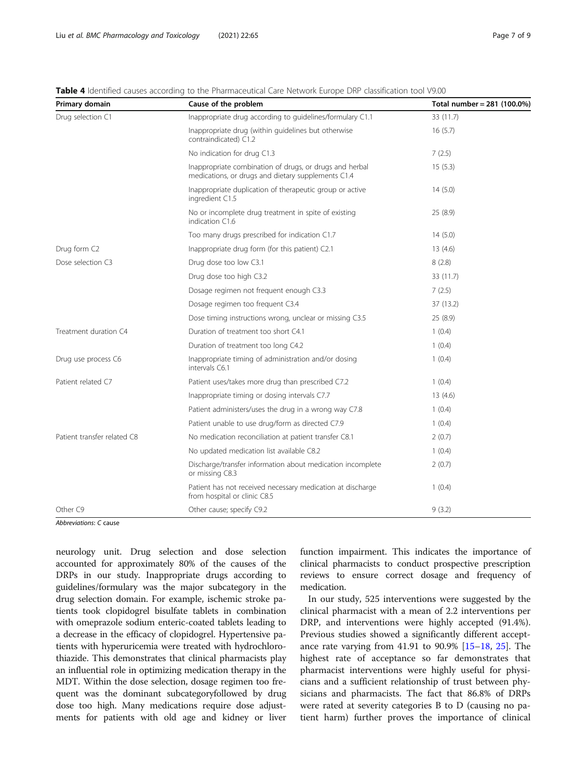<span id="page-6-0"></span>

| Primary domain              | Cause of the problem                                                                                          | Total number = 281 (100.0%) |
|-----------------------------|---------------------------------------------------------------------------------------------------------------|-----------------------------|
| Drug selection C1           | Inappropriate drug according to guidelines/formulary C1.1                                                     | 33 (11.7)                   |
|                             | Inappropriate drug (within guidelines but otherwise<br>contraindicated) C1.2                                  | 16(5.7)                     |
|                             | No indication for drug C1.3                                                                                   | 7(2.5)                      |
|                             | Inappropriate combination of drugs, or drugs and herbal<br>medications, or drugs and dietary supplements C1.4 | 15(5.3)                     |
|                             | Inappropriate duplication of therapeutic group or active<br>ingredient C1.5                                   | 14(5.0)                     |
|                             | No or incomplete drug treatment in spite of existing<br>indication C1.6                                       | 25(8.9)                     |
|                             | Too many drugs prescribed for indication C1.7                                                                 | 14(5.0)                     |
| Drug form C2                | Inappropriate drug form (for this patient) C2.1                                                               | 13(4.6)                     |
| Dose selection C3           | Drug dose too low C3.1                                                                                        | 8(2.8)                      |
|                             | Drug dose too high C3.2                                                                                       | 33 (11.7)                   |
|                             | Dosage regimen not frequent enough C3.3                                                                       | 7(2.5)                      |
|                             | Dosage regimen too frequent C3.4                                                                              | 37 (13.2)                   |
|                             | Dose timing instructions wrong, unclear or missing C3.5                                                       | 25(8.9)                     |
| Treatment duration C4       | Duration of treatment too short C4.1                                                                          | 1(0.4)                      |
|                             | Duration of treatment too long C4.2                                                                           | 1(0.4)                      |
| Drug use process C6         | Inappropriate timing of administration and/or dosing<br>intervals C6.1                                        | 1(0.4)                      |
| Patient related C7          | Patient uses/takes more drug than prescribed C7.2                                                             | 1(0.4)                      |
|                             | Inappropriate timing or dosing intervals C7.7                                                                 | 13(4.6)                     |
|                             | Patient administers/uses the drug in a wrong way C7.8                                                         | 1(0.4)                      |
|                             | Patient unable to use drug/form as directed C7.9                                                              | 1(0.4)                      |
| Patient transfer related C8 | No medication reconciliation at patient transfer C8.1                                                         | 2(0.7)                      |
|                             | No updated medication list available C8.2                                                                     | 1(0.4)                      |
|                             | Discharge/transfer information about medication incomplete<br>or missing C8.3                                 | 2(0.7)                      |
|                             | Patient has not received necessary medication at discharge<br>from hospital or clinic C8.5                    | 1(0.4)                      |
| Other C9                    | Other cause; specify C9.2                                                                                     | 9(3.2)                      |

Abbreviations: C cause

neurology unit. Drug selection and dose selection accounted for approximately 80% of the causes of the DRPs in our study. Inappropriate drugs according to guidelines/formulary was the major subcategory in the drug selection domain. For example, ischemic stroke patients took clopidogrel bisulfate tablets in combination with omeprazole sodium enteric-coated tablets leading to a decrease in the efficacy of clopidogrel. Hypertensive patients with hyperuricemia were treated with hydrochlorothiazide. This demonstrates that clinical pharmacists play an influential role in optimizing medication therapy in the MDT. Within the dose selection, dosage regimen too frequent was the dominant subcategoryfollowed by drug dose too high. Many medications require dose adjustments for patients with old age and kidney or liver function impairment. This indicates the importance of clinical pharmacists to conduct prospective prescription reviews to ensure correct dosage and frequency of medication.

In our study, 525 interventions were suggested by the clinical pharmacist with a mean of 2.2 interventions per DRP, and interventions were highly accepted (91.4%). Previous studies showed a significantly different acceptance rate varying from 41.91 to 90.9% [[15](#page-8-0)–[18](#page-8-0), [25](#page-8-0)]. The highest rate of acceptance so far demonstrates that pharmacist interventions were highly useful for physicians and a sufficient relationship of trust between physicians and pharmacists. The fact that 86.8% of DRPs were rated at severity categories B to D (causing no patient harm) further proves the importance of clinical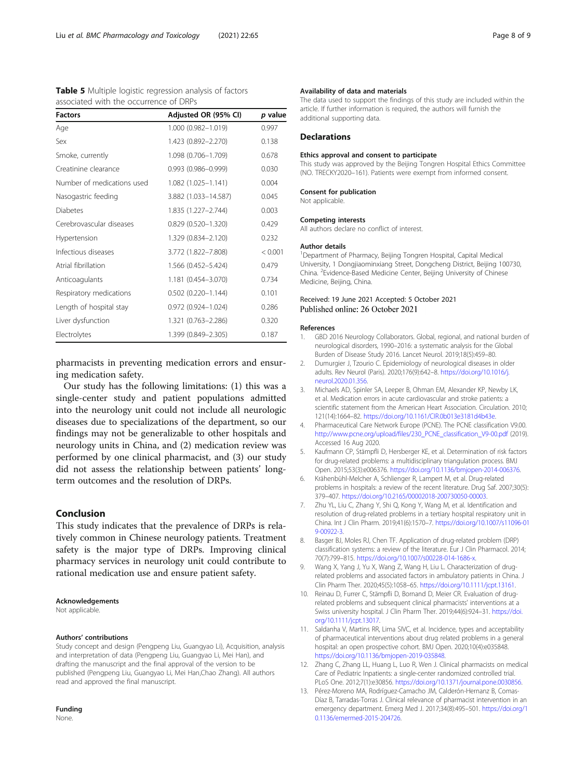<span id="page-7-0"></span>

|  | Table 5 Multiple logistic regression analysis of factors |  |  |
|--|----------------------------------------------------------|--|--|
|  | associated with the occurrence of DRPs                   |  |  |

| <b>Factors</b>             | Adjusted OR (95% CI)      | p value |
|----------------------------|---------------------------|---------|
| Age                        | 1.000 (0.982-1.019)       | 0.997   |
| Sex                        | 1.423 (0.892-2.270)       | 0.138   |
| Smoke, currently           | 1.098 (0.706-1.709)       | 0.678   |
| Creatinine clearance       | $0.993(0.986 - 0.999)$    | 0.030   |
| Number of medications used | 1.082 (1.025-1.141)       | 0.004   |
| Nasogastric feeding        | 3.882 (1.033-14.587)      | 0.045   |
| <b>Diabetes</b>            | 1.835 (1.227-2.744)       | 0.003   |
| Cerebrovascular diseases   | $0.829(0.520 - 1.320)$    | 0.429   |
| Hypertension               | 1.329 (0.834-2.120)       | 0.232   |
| Infectious diseases        | 3.772 (1.822-7.808)       | < 0.001 |
| Atrial fibrillation        | 1.566 (0.452-5.424)       | 0.479   |
| Anticoagulants             | 1.181 (0.454-3.070)       | 0.734   |
| Respiratory medications    | $0.502$ $(0.220 - 1.144)$ | 0.101   |
| Length of hospital stay    | $0.972(0.924 - 1.024)$    | 0.286   |
| Liver dysfunction          | 1.321 (0.763-2.286)       | 0.320   |
| Electrolytes               | 1.399 (0.849-2.305)       | 0.187   |

pharmacists in preventing medication errors and ensuring medication safety.

Our study has the following limitations: (1) this was a single-center study and patient populations admitted into the neurology unit could not include all neurologic diseases due to specializations of the department, so our findings may not be generalizable to other hospitals and neurology units in China, and (2) medication review was performed by one clinical pharmacist, and (3) our study did not assess the relationship between patients' longterm outcomes and the resolution of DRPs.

# Conclusion

This study indicates that the prevalence of DRPs is relatively common in Chinese neurology patients. Treatment safety is the major type of DRPs. Improving clinical pharmacy services in neurology unit could contribute to rational medication use and ensure patient safety.

#### Acknowledgements

Not applicable.

#### Authors' contributions

Study concept and design (Pengpeng Liu, Guangyao Li), Acquisition, analysis and interpretation of data (Pengpeng Liu, Guangyao Li, Mei Han), and drafting the manuscript and the final approval of the version to be published (Pengpeng Liu, Guangyao Li, Mei Han,Chao Zhang). All authors read and approved the final manuscript.

# Funding

None.

#### Availability of data and materials

The data used to support the findings of this study are included within the article. If further information is required, the authors will furnish the additional supporting data.

#### Declarations

#### Ethics approval and consent to participate

This study was approved by the Beijing Tongren Hospital Ethics Committee (NO. TRECKY2020–161). Patients were exempt from informed consent.

# Consent for publication

Not applicable.

#### Competing interests

All authors declare no conflict of interest.

#### Author details

<sup>1</sup>Department of Pharmacy, Beijing Tongren Hospital, Capital Medical University, 1 Dongjiaominxiang Street, Dongcheng District, Beijing 100730, China. <sup>2</sup> Evidence-Based Medicine Center, Beijing University of Chinese Medicine, Beijing, China.

# Received: 19 June 2021 Accepted: 5 October 2021 Published online: 26 October 2021

#### References

- 1. GBD 2016 Neurology Collaborators. Global, regional, and national burden of neurological disorders, 1990–2016: a systematic analysis for the Global Burden of Disease Study 2016. Lancet Neurol. 2019;18(5):459–80.
- 2. Dumurgier J, Tzourio C. Epidemiology of neurological diseases in older adults. Rev Neurol (Paris). 2020;176(9):642–8. [https://doi.org/10.1016/j.](https://doi.org/10.1016/j.neurol.2020.01.356) [neurol.2020.01.356](https://doi.org/10.1016/j.neurol.2020.01.356).
- 3. Michaels AD, Spinler SA, Leeper B, Ohman EM, Alexander KP, Newby LK, et al. Medication errors in acute cardiovascular and stroke patients: a scientific statement from the American Heart Association. Circulation. 2010; 121(14):1664–82. <https://doi.org/10.1161/CIR.0b013e3181d4b43e>.
- 4. Pharmaceutical Care Network Europe (PCNE). The PCNE classification V9.00. [http://www.pcne.org/upload/files/230\\_PCNE\\_classification\\_V9-00.pdf](http://www.pcne.org/upload/files/230_PCNE_classification_V9-00.pdf) (2019). Accessed 16 Aug 2020.
- 5. Kaufmann CP, Stämpfli D, Hersberger KE, et al. Determination of risk factors for drug-related problems: a multidisciplinary triangulation process. BMJ Open. 2015;53(3):e006376. <https://doi.org/10.1136/bmjopen-2014-006376>.
- 6. Krähenbühl-Melcher A, Schlienger R, Lampert M, et al. Drug-related problems in hospitals: a review of the recent literature. Drug Saf. 2007;30(5): 379–407. [https://doi.org/10.2165/00002018-200730050-00003.](https://doi.org/10.2165/00002018-200730050-00003)
- 7. Zhu YL, Liu C, Zhang Y, Shi Q, Kong Y, Wang M, et al. Identification and resolution of drug-related problems in a tertiary hospital respiratory unit in China. Int J Clin Pharm. 2019;41(6):1570–7. [https://doi.org/10.1007/s11096-01](https://doi.org/10.1007/s11096-019-00922-3) [9-00922-3.](https://doi.org/10.1007/s11096-019-00922-3)
- 8. Basger BJ, Moles RJ, Chen TF. Application of drug-related problem (DRP) classification systems: a review of the literature. Eur J Clin Pharmacol. 2014; 70(7):799–815. <https://doi.org/10.1007/s00228-014-1686-x>.
- Wang X, Yang J, Yu X, Wang Z, Wang H, Liu L. Characterization of drugrelated problems and associated factors in ambulatory patients in China. J Clin Pharm Ther. 2020;45(5):1058–65. <https://doi.org/10.1111/jcpt.13161>.
- 10. Reinau D, Furrer C, Stämpfli D, Bornand D, Meier CR. Evaluation of drugrelated problems and subsequent clinical pharmacists' interventions at a Swiss university hospital. J Clin Pharm Ther. 2019;44(6):924–31. [https://doi.](https://doi.org/10.1111/jcpt.13017) [org/10.1111/jcpt.13017.](https://doi.org/10.1111/jcpt.13017)
- 11. Saldanha V, Martins RR, Lima SIVC, et al. Incidence, types and acceptability of pharmaceutical interventions about drug related problems in a general hospital: an open prospective cohort. BMJ Open. 2020;10(4):e035848. <https://doi.org/10.1136/bmjopen-2019-035848>.
- 12. Zhang C, Zhang LL, Huang L, Luo R, Wen J. Clinical pharmacists on medical Care of Pediatric Inpatients: a single-center randomized controlled trial. PLoS One. 2012;7(1):e30856. <https://doi.org/10.1371/journal.pone.0030856>.
- 13. Pérez-Moreno MA, Rodríguez-Camacho JM, Calderón-Hernanz B, Comas-Díaz B, Tarradas-Torras J. Clinical relevance of pharmacist intervention in an emergency department. Emerg Med J. 2017;34(8):495–501. [https://doi.org/1](https://doi.org/10.1136/emermed-2015-204726) [0.1136/emermed-2015-204726](https://doi.org/10.1136/emermed-2015-204726).